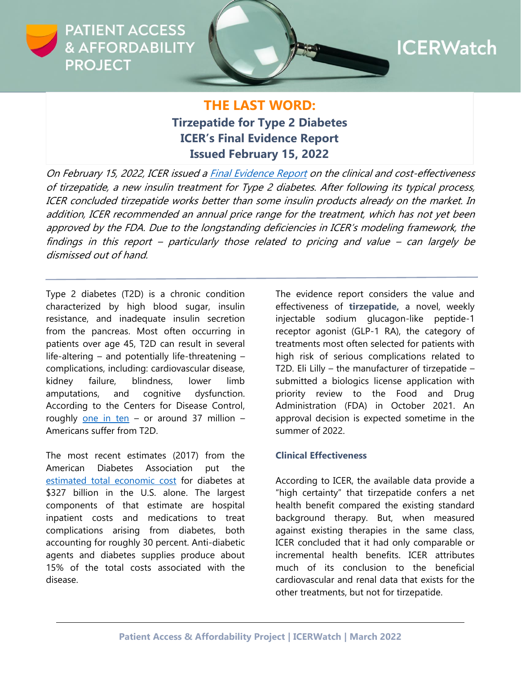

# **ICERWatch**

## **THE LAST WORD: Tirzepatide for Type 2 Diabetes ICER's Final Evidence Report Issued February 15, 2022**

On February 15, 2022, ICER issued [a Final Evidence Report](https://icer.org/wp-content/uploads/2021/06/ICER_Type2Diabetes_FinalReport_02152022.pdf) on the clinical and cost-effectiveness of tirzepatide, a new insulin treatment for Type 2 diabetes. After following its typical process, ICER concluded tirzepatide works better than some insulin products already on the market. In addition, ICER recommended an annual price range for the treatment, which has not yet been approved by the FDA. Due to the longstanding deficiencies in ICER's modeling framework, the findings in this report – particularly those related to pricing and value – can largely be dismissed out of hand.

Type 2 diabetes (T2D) is a chronic condition characterized by high blood sugar, insulin resistance, and inadequate insulin secretion from the pancreas. Most often occurring in patients over age 45, T2D can result in several life-altering – and potentially life-threatening – complications, including: cardiovascular disease, kidney failure, blindness, lower limb amputations, and cognitive dysfunction. According to the Centers for Disease Control, roughly [one in ten](https://www.cdc.gov/diabetes/basics/type2.html#:~:text=More%20than%2037%20million%20Americans,adults%20are%20also%20developing%20it.) – or around 37 million – Americans suffer from T2D.

The most recent estimates (2017) from the American Diabetes Association put the [estimated total economic cost](https://www.diabetes.org/about-us/statistics/cost-diabetes#:~:text=The%20estimated%20total%20economic%20cost,that%20diabetes%20imposes%20on%20society.) for diabetes at \$327 billion in the U.S. alone. The largest components of that estimate are hospital inpatient costs and medications to treat complications arising from diabetes, both accounting for roughly 30 percent. Anti-diabetic agents and diabetes supplies produce about 15% of the total costs associated with the disease.

The evidence report considers the value and effectiveness of **tirzepatide,** a novel, weekly injectable sodium glucagon-like peptide-1 receptor agonist (GLP-1 RA), the category of treatments most often selected for patients with high risk of serious complications related to T2D. Eli Lilly  $-$  the manufacturer of tirzepatide  $$ submitted a biologics license application with priority review to the Food and Drug Administration (FDA) in October 2021. An approval decision is expected sometime in the summer of 2022.

#### **Clinical Effectiveness**

According to ICER, the available data provide a "high certainty" that tirzepatide confers a net health benefit compared the existing standard background therapy. But, when measured against existing therapies in the same class, ICER concluded that it had only comparable or incremental health benefits. ICER attributes much of its conclusion to the beneficial cardiovascular and renal data that exists for the other treatments, but not for tirzepatide.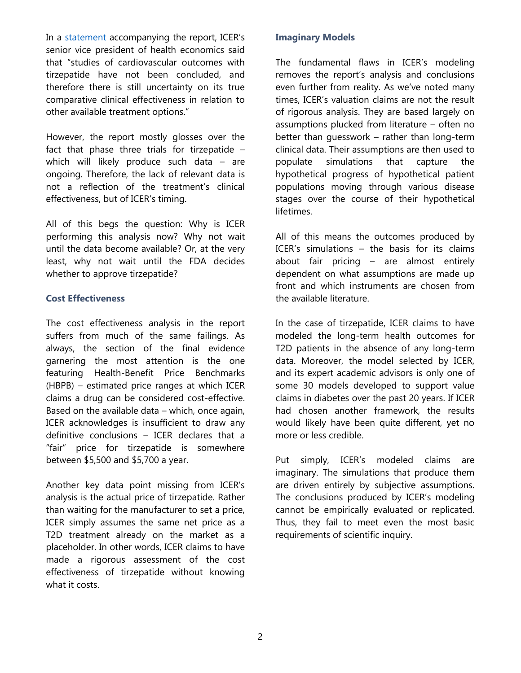In a [statement](https://icer.org/news-insights/press-releases/icer-publishes-final-evidence-report-and-policy-recommendations-on-tirzepatide-for-type-2-diabetes/) accompanying the report, ICER's senior vice president of health economics said that "studies of cardiovascular outcomes with tirzepatide have not been concluded, and therefore there is still uncertainty on its true comparative clinical effectiveness in relation to other available treatment options."

However, the report mostly glosses over the fact that phase three trials for tirzepatide – which will likely produce such data – are ongoing. Therefore, the lack of relevant data is not a reflection of the treatment's clinical effectiveness, but of ICER's timing.

All of this begs the question: Why is ICER performing this analysis now? Why not wait until the data become available? Or, at the very least, why not wait until the FDA decides whether to approve tirzepatide?

#### **Cost Effectiveness**

The cost effectiveness analysis in the report suffers from much of the same failings. As always, the section of the final evidence garnering the most attention is the one featuring Health-Benefit Price Benchmarks (HBPB) – estimated price ranges at which ICER claims a drug can be considered cost-effective. Based on the available data – which, once again, ICER acknowledges is insufficient to draw any definitive conclusions – ICER declares that a "fair" price for tirzepatide is somewhere between \$5,500 and \$5,700 a year.

Another key data point missing from ICER's analysis is the actual price of tirzepatide. Rather than waiting for the manufacturer to set a price, ICER simply assumes the same net price as a T2D treatment already on the market as a placeholder. In other words, ICER claims to have made a rigorous assessment of the cost effectiveness of tirzepatide without knowing what it costs.

#### **Imaginary Models**

The fundamental flaws in ICER's modeling removes the report's analysis and conclusions even further from reality. As we've noted many times, ICER's valuation claims are not the result of rigorous analysis. They are based largely on assumptions plucked from literature – often no better than guesswork – rather than long-term clinical data. Their assumptions are then used to populate simulations that capture the hypothetical progress of hypothetical patient populations moving through various disease stages over the course of their hypothetical lifetimes.

All of this means the outcomes produced by ICER's simulations – the basis for its claims about fair pricing – are almost entirely dependent on what assumptions are made up front and which instruments are chosen from the available literature.

In the case of tirzepatide, ICER claims to have modeled the long-term health outcomes for T2D patients in the absence of any long-term data. Moreover, the model selected by ICER, and its expert academic advisors is only one of some 30 models developed to support value claims in diabetes over the past 20 years. If ICER had chosen another framework, the results would likely have been quite different, yet no more or less credible.

Put simply, ICER's modeled claims are imaginary. The simulations that produce them are driven entirely by subjective assumptions. The conclusions produced by ICER's modeling cannot be empirically evaluated or replicated. Thus, they fail to meet even the most basic requirements of scientific inquiry.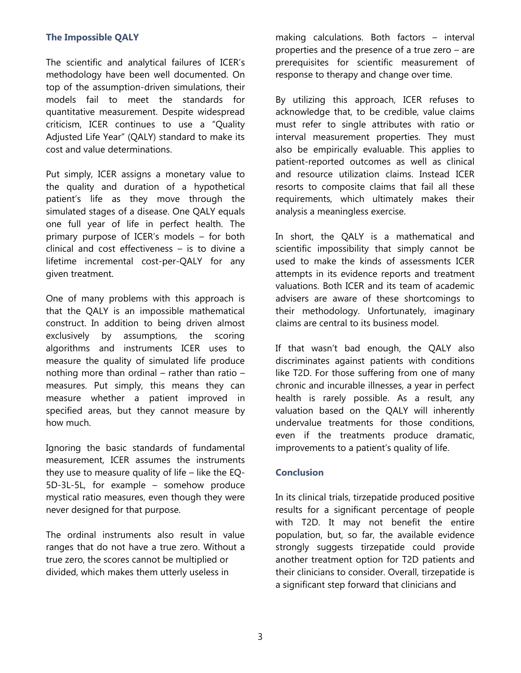### **The Impossible QALY**

The scientific and analytical failures of ICER's methodology have been well documented. On top of the assumption-driven simulations, their models fail to meet the standards for quantitative measurement. Despite widespread criticism, ICER continues to use a "Quality Adjusted Life Year" (QALY) standard to make its cost and value determinations.

Put simply, ICER assigns a monetary value to the quality and duration of a hypothetical patient's life as they move through the simulated stages of a disease. One QALY equals one full year of life in perfect health. The primary purpose of ICER's models – for both clinical and cost effectiveness – is to divine a lifetime incremental cost-per-QALY for any given treatment.

One of many problems with this approach is that the QALY is an impossible mathematical construct. In addition to being driven almost exclusively by assumptions, the scoring algorithms and instruments ICER uses to measure the quality of simulated life produce nothing more than ordinal – rather than ratio – measures. Put simply, this means they can measure whether a patient improved in specified areas, but they cannot measure by how much.

Ignoring the basic standards of fundamental measurement, ICER assumes the instruments they use to measure quality of life – like the EQ-5D-3L-5L, for example – somehow produce mystical ratio measures, even though they were never designed for that purpose.

The ordinal instruments also result in value ranges that do not have a true zero. Without a true zero, the scores cannot be multiplied or divided, which makes them utterly useless in

making calculations. Both factors – interval properties and the presence of a true zero – are prerequisites for scientific measurement of response to therapy and change over time.

By utilizing this approach, ICER refuses to acknowledge that, to be credible, value claims must refer to single attributes with ratio or interval measurement properties. They must also be empirically evaluable. This applies to patient-reported outcomes as well as clinical and resource utilization claims. Instead ICER resorts to composite claims that fail all these requirements, which ultimately makes their analysis a meaningless exercise.

In short, the QALY is a mathematical and scientific impossibility that simply cannot be used to make the kinds of assessments ICER attempts in its evidence reports and treatment valuations. Both ICER and its team of academic advisers are aware of these shortcomings to their methodology. Unfortunately, imaginary claims are central to its business model.

If that wasn't bad enough, the QALY also discriminates against patients with conditions like T2D. For those suffering from one of many chronic and incurable illnesses, a year in perfect health is rarely possible. As a result, any valuation based on the QALY will inherently undervalue treatments for those conditions, even if the treatments produce dramatic, improvements to a patient's quality of life.

#### **Conclusion**

In its clinical trials, tirzepatide produced positive results for a significant percentage of people with T2D. It may not benefit the entire population, but, so far, the available evidence strongly suggests tirzepatide could provide another treatment option for T2D patients and their clinicians to consider. Overall, tirzepatide is a significant step forward that clinicians and